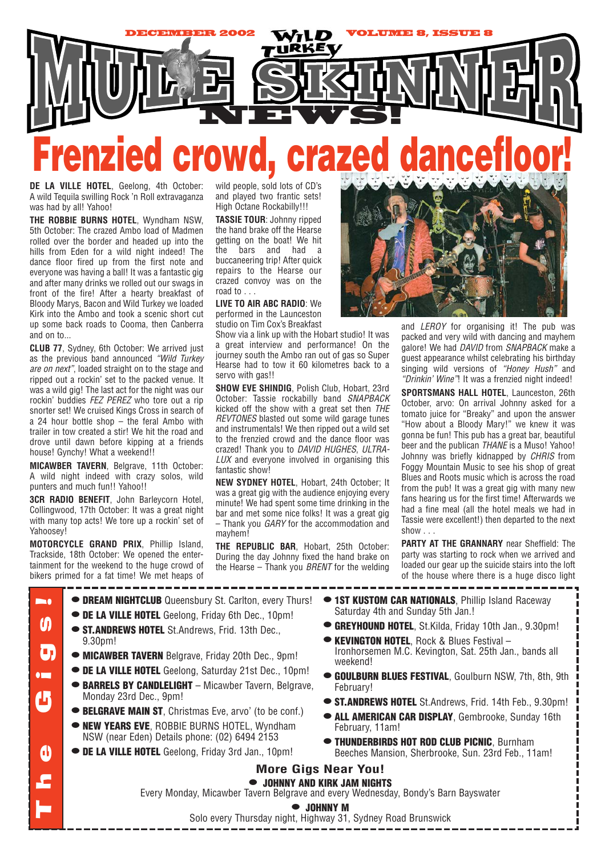

## **Frenzied crowd, crazed dancefloor!**

**DE LA VILLE HOTEL**, Geelong, 4th October: A wild Tequila swilling Rock 'n Roll extravaganza was had by all! Yahoo!

**THE ROBBIE BURNS HOTEL**, Wyndham NSW, 5th October: The crazed Ambo load of Madmen rolled over the border and headed up into the hills from Eden for a wild night indeed! The dance floor fired up from the first note and everyone was having a ball! It was a fantastic gig and after many drinks we rolled out our swags in front of the fire! After a hearty breakfast of Bloody Marys, Bacon and Wild Turkey we loaded Kirk into the Ambo and took a scenic short cut up some back roads to Cooma, then Canberra and on to...

**CLUB 77**, Sydney, 6th October: We arrived just as the previous band announced *"Wild Turkey are on next"*, loaded straight on to the stage and ripped out a rockin' set to the packed venue. It was a wild gig! The last act for the night was our rockin' buddies *FEZ PEREZ* who tore out a rip snorter set! We cruised Kings Cross in search of a 24 hour bottle shop – the feral Ambo with trailer in tow created a stir! We hit the road and drove until dawn before kipping at a friends house! Gynchy! What a weekend!!

**MICAWBER TAVERN**, Belgrave, 11th October: A wild night indeed with crazy solos, wild punters and much fun!! Yahoo!!

**3CR RADIO BENEFIT**, John Barleycorn Hotel, Collingwood, 17th October: It was a great night with many top acts! We tore up a rockin' set of Yahoosey!

**MOTORCYCLE GRAND PRIX**, Phillip Island, Trackside, 18th October: We opened the entertainment for the weekend to the huge crowd of bikers primed for a fat time! We met heaps of wild people, sold lots of CD's and played two frantic sets! High Octane Rockabilly!!!

**TASSIE TOUR**: Johnny ripped the hand brake off the Hearse getting on the boat! We hit the bars and had a buccaneering trip! After quick repairs to the Hearse our crazed convoy was on the road to . . .

**LIVE TO AIR ABC RADIO**: We performed in the Launceston studio on Tim Cox's Breakfast

Show via a link up with the Hobart studio! It was a great interview and performance! On the journey south the Ambo ran out of gas so Super Hearse had to tow it 60 kilometres back to a servo with gas!!

**SHOW EVE SHINDIG**, Polish Club, Hobart, 23rd October: Tassie rockabilly band *SNAPBACK* kicked off the show with a great set then *THE REVTONES* blasted out some wild garage tunes and instrumentals! We then ripped out a wild set to the frenzied crowd and the dance floor was crazed! Thank you to *DAVID HUGHES*, *ULTRA-LUX* and everyone involved in organising this fantastic show!

**NEW SYDNEY HOTEL**, Hobart, 24th October; It was a great gig with the audience enjoying every minute! We had spent some time drinking in the bar and met some nice folks! It was a great gig – Thank you *GARY* for the accommodation and mayhem!

**THE REPUBLIC BAR**, Hobart, 25th October: During the day Johnny fixed the hand brake on the Hearse – Thank you *BRENT* for the welding



and *LEROY* for organising it! The pub was packed and very wild with dancing and mayhem galore! We had *DAVID* from *SNAPBACK* make a guest appearance whilst celebrating his birthday singing wild versions of *"Honey Hush"* and *"Drinkin' Wine"*! It was a frenzied night indeed!

**SPORTSMANS HALL HOTEL**, Launceston, 26th October, arvo: On arrival Johnny asked for a tomato juice for "Breaky" and upon the answer "How about a Bloody Mary!" we knew it was gonna be fun! This pub has a great bar, beautiful beer and the publican *THANE* is a Muso! Yahoo! Johnny was briefly kidnapped by *CHRIS* from Foggy Mountain Music to see his shop of great Blues and Roots music which is across the road from the pub! It was a great gig with many new fans hearing us for the first time! Afterwards we had a fine meal (all the hotel meals we had in Tassie were excellent!) then departed to the next show . . .

**PARTY AT THE GRANNARY** near Sheffield: The party was starting to rock when we arrived and loaded our gear up the suicide stairs into the loft of the house where there is a huge disco light

- **• DREAM NIGHTCLUB** Queensbury St. Carlton, every Thurs! **Destruction** The Gigs! **• DE LA VILLE HOTEL** Geelong, Friday 6th Dec., 10pm! M **• ST.ANDREWS HOTEL** St.Andrews, Frid. 13th Dec., 9.30pm! О, **• MICAWBER TAVERN** Belgrave, Friday 20th Dec., 9pm! **• DE LA VILLE HOTEL** Geelong, Saturday 21st Dec., 10pm!  $\bullet$ **• BARRELS BY CANDLELIGHT** – Micawber Tavern, Belgrave, <u>4</u> Monday 23rd Dec., 9pm! **• BELGRAVE MAIN ST**, Christmas Eve, arvo' (to be conf.) **• NEW YEARS EVE**, ROBBIE BURNS HOTEL, Wyndham NSW (near Eden) Details phone: (02) 6494 2153  $\mathbf d$ **• DE LA VILLE HOTEL** Geelong, Friday 3rd Jan., 10pm! **More Gigs Near You! • JOHNNY AND KIRK JAM NIGHTS** Every Monday, Micawber Tavern Belgrave and every Wednesday, Bondy's Barn Bayswater **• JOHNNY M** Solo every Thursday night, Highway 31, Sydney Road Brunswick
- **1ST KUSTOM CAR NATIONALS**, Phillip Island Raceway Saturday 4th and Sunday 5th Jan.!
	- **• GREYHOUND HOTEL**, St.Kilda, Friday 10th Jan., 9.30pm!
	- **• KEVINGTON HOTEL**, Rock & Blues Festival Ironhorsemen M.C. Kevington, Sat. 25th Jan., bands all weekend!
	- **• GOULBURN BLUES FESTIVAL**, Goulburn NSW, 7th, 8th, 9th February!
	- **• ST.ANDREWS HOTEL** St.Andrews, Frid. 14th Feb., 9.30pm!
	- **• ALL AMERICAN CAR DISPLAY**, Gembrooke, Sunday 16th February, 11am!
	- **• THUNDERBIRDS HOT ROD CLUB PICNIC**, Burnham Beeches Mansion, Sherbrooke, Sun. 23rd Feb., 11am!